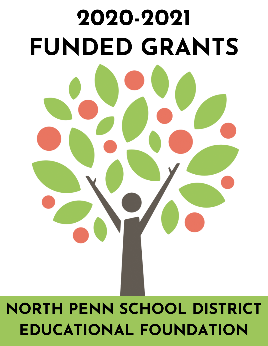

# **NORTH PENN SCHOOL DISTRICT EDUCATIONAL FOUNDATION**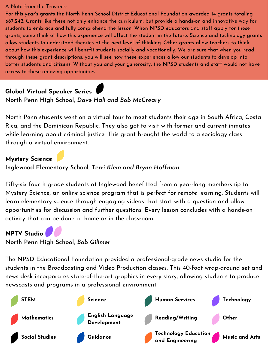#### A Note from the Trustees:

For this year's grants the North Penn School District Educational Foundation awarded 14 grants totaling \$67,242. Grants like these not only enhance the curriculum, but provide a hands-on and innovative way for students to embrace and fully comprehend the lesson. When NPSD educators and staff apply for these grants, some think of how this experience will affect the student in the future. Science and technology grants allow students to understand theories at the next level of thinking. Other grants allow teachers to think about how this experience will benefit students socially and vocationally. We are sure that when you read through these grant descriptions, you will see how these experiences allow our students to develop into better students and citizens. Without you and your generosity, the NPSD students and staff would not have access to these amazing opportunities.

## **Global Virtual Speaker Series**

#### **North Penn High School,** *Dave Hall and Bob McCreary*

North Penn students went on a virtual tour to meet students their age in South Africa, Costa Rica, and the Dominican Republic. They also got to visit with former and current inmates while learning about criminal justice. This grant brought the world to a sociology class through a virtual environment.

#### **Mystery Science**

#### **Inglewood Elementary School,** *Terri Klein and Brynn Hoffman*

Fifty-six fourth grade students at Inglewood benefitted from a year-long membership to Mystery Science, an online science program that is perfect for remote learning. Students will learn elementary science through engaging videos that start with a question and allow opportunities for discussion and further questions. Every lesson concludes with a hands-on activity that can be done at home or in the classroom.

#### **NPTV Studio**

#### **North Penn High School,** *Bob Gillmer*

The NPSD Educational Foundation provided a professional-grade news studio for the students in the Broadcasting and Video Production classes. This 40-foot wrap-around set and news desk incorporates state-of-the-art graphics in every story, allowing students to produce newscasts and programs in a professional environment.

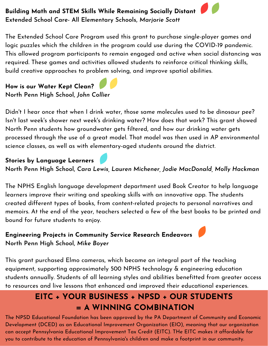#### **Building Math and STEM Skills While Remaining Socially Distant Extended School Care- All Elementary Schools,** *Marjorie Scott*

The Extended School Care Program used this grant to purchase single-player games and logic puzzles which the children in the program could use during the COVID-19 pandemic. This allowed program participants to remain engaged and active when social distancing was required. These games and activities allowed students to reinforce critical thinking skills, build creative approaches to problem solving, and improve spatial abilities.

## **How is our Water Kept Clean? North Penn High School,** *John Collier*

Didn't I hear once that when I drink water, those same molecules used to be dinosaur pee? Isn't last week's shower next week's drinking water? How does that work? This grant showed North Penn students how groundwater gets filtered, and how our drinking water gets processed through the use of a great model. That model was then used in AP environmental science classes, as well as with elementary-aged students around the district.

#### **Stories by Language Learners**

**North Penn High School,** *Cara Lewis, Lauren Michener, Jodie MacDonald, Molly Hackman*

The NPHS English language development department used Book Creator to help language learners improve their writing and speaking skills with an innovative app. The students created different types of books, from content-related projects to personal narratives and memoirs. At the end of the year, teachers selected a few of the best books to be printed and bound for future students to enjoy.

#### **Engineering Projects in Community Service Research Endeavors North Penn High School,** *Mike Boyer*

This grant purchased Elmo cameras, which became an integral part of the teaching equipment, supporting approximately 500 NPHS technology & engineering education students annually. Students of all learning styles and abilities benefitted from greater access to resources and live lessons that enhanced and improved their educational experiences.

# **EITC + YOUR BUSINESS + NPSD + OUR STUDENTS = A WINNING COMBINATION**

The NPSD Educational Foundation has been approved by the PA Department of Community and Economic Development (DCED) as an Educational Improvement Organization (EIO), meaning that our organization can accept Pennsylvania Educational Improvement Tax Credit (EITC). THe EITC makes it affordable for you to contribute to the education of Pennsylvania's children and make a footprint in our community.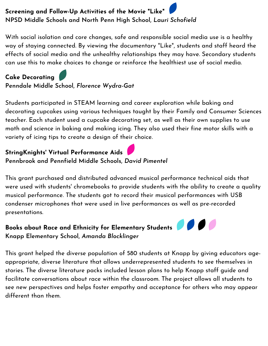# **Screening and Follow-Up Activities of the Movie "Like" NPSD Middle Schools and North Penn High School,** *Lauri Schofield*

With social isolation and core changes, safe and responsible social media use is a healthy way of staying connected. By viewing the documentary "Like", students and staff heard the effects of social media and the unhealthy relationships they may have. Secondary students can use this to make choices to change or reinforce the healthiest use of social media.

### **Cake Decorating**

**Penndale Middle School,** *Florence Wydra-Gat*

Students participated in STEAM learning and career exploration while baking and decorating cupcakes using various techniques taught by their Family and Consumer Sciences teacher. Each student used a cupcake decorating set, as well as their own supplies to use math and science in baking and making icing. They also used their fine motor skills with a variety of icing tips to create a design of their choice.

#### **StringKnights' Virtual Performance Aids Pennbrook and Pennfield Middle Schools,** *David Pimentel*

This grant purchased and distributed advanced musical performance technical aids that were used with students' chromebooks to provide students with the ability to create a quality musical performance. The students got to record their musical performances with USB condenser microphones that were used in live performances as well as pre-recorded presentations.

## **Books about Race and Ethnicity for Elementary Students Knapp Elementary School,** *Amanda Blocklinger*

This grant helped the diverse population of 580 students at Knapp by giving educators ageappropriate, diverse literature that allows underrepresented students to see themselves in stories. The diverse literature packs included lesson plans to help Knapp staff guide and facilitate conversations about race within the classroom. The project allows all students to see new perspectives and helps foster empathy and acceptance for others who may appear different than them.